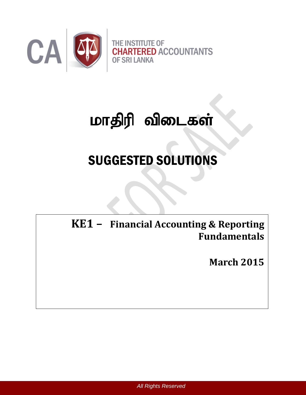

# மாதிரி விடைகள்

# SUGGESTED SOLUTIONS

**KE1 – Financial Accounting & Reporting** Certificate in Accounting and Business II Examination **Fundamentals**

**March 2015**

*All Rights Reserved*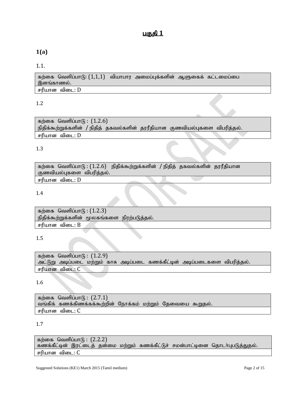# **1(a)**

#### 1.1.

கற்கை வெளிப்பாடு:  $(1,1,1)$  வியாபார அமைப்புக்களின் ஆளுகைக் கட்டமைப்பை இனங்காணல். சரியான விடை:  $D$ 

#### 1.2

கற்கை வெளிப்பா $f<sub>B</sub>$ :  $(1.2.6)$ நிதிக்கூற்றுக்களின் / நிதித் தகவல்களின் தரரீதியான குணவியல்புகளை விபரித்தல். சரியான விடை:  $D$ 

#### 1.3

கற்கை வெளிப்பாடு:  $(1.2.6)$  நிதிக்கூற்றுக்களின் / நிதித் தகவல்களின் தரரீதியான குணவியல்புகளை விபரித்தல்.

சரியான விடை:  $D$ 

#### 1.4

கற்கை வெளிப்பா $(6: (1.2.3))$ நிதிக்கூற்றுக்களின் மூலகங்களை நிரற்படுத்தல். சரியான விடை:  $B$ 

#### 1.5

கற்கை வெளிப்பா $(f)$ :  $(1.2.9)$ அட்டுறு அடிப்படை மற்றும் காசு அடிப்படை கணக்கீட்டின் அடிப்படைகளை விபரித்தல். சரியான விடை:  $C$ 

1.6

```
கற்கை வெளிப்பா(f): (2.7.1)வங்கிக் கணக்கிணக்கக்கூற்றின் நோக்கம் மற்றும் தேவையை கூறுதல்.
சரியான விடை: C
```
#### 1.7

கற்கை வெளிப்பா $f$  :  $(2.2.2)$ கணக்கீட்டின் இரட்டைத் தன்மை மற்றும் கணக்கீட்டுச் சமன்பாட்டினை தொடர்புபடுத்துதல். சரியான விடை:  $C$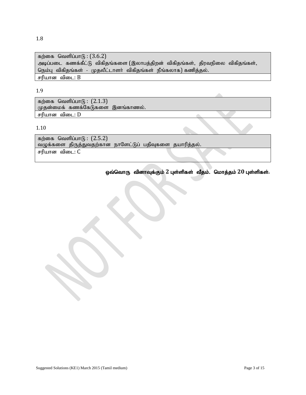கற்கை வெளிப்பா $(f)$ :  $(3.6.2)$ அடிப்படை கணக்கீட்டு விகிதங்களை (இலாபத்திறன் விகிதங்கள், திரவநிலை விகிதங்கள், நெம்பு விகிதங்கள் - முதலீட்டாளர் விகிதங்கள் நீங்கலாக) கணித்தல். சரியான விடை:  $B$ 

#### 1.9

கற்கை வெளிப்பா $(6: (2.1.3))$  $\mu$ தன்மைக் கணக்கேடுகளை இனங்காணல். சரியான விடை:  $D$ 

#### 1.10

கற்கை வெளிப்பா $f<sub>B</sub>$ :  $(2.5.2)$ .<br>வழுக்களை திருத்துவதற்கான நாளேட்டுப் பதிவுகளை தயாரித்தல். சரியான விடை:  $C$ 

ஒவ்வொரு வினாவுக்கும் 2 புள்ளிகள் வீதம். மொத்தம் 20 புள்ளிகள்.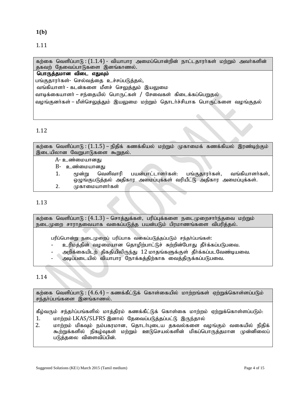#### **1(b)**

1.11

கற்கை வெளிப்பாடு :  $(1.1.4)$  - வியாபார அமைப்பொன்றின் நாட்டதாரர்கள் மற்றும் அவர்களின் தகவற் தேவைப்பாடுகளை இனங்காணல்.

# பொருத்தமான விடை எதுவும்

பங்குதாரர்கள்- செல்வத்தை உச்சப்படுத்தல்,

வங்கியாளா் - கடன்களை மீளச் செலுத்தும் இயலுமை வாடிக்கையாளர் – சந்தையில் பொருட்கள் / சேவைகள் கிடைக்கப்பெறுதல்

வழங்குனர்கள் – மீள்செலுத்தும் இயலுமை மற்றும் தொடர்ச்சியாக பொருட்களை வழங்குதல்

# 1.12

கற்கை வெளிப்பாடு :  $(1.1.5)$  – நிதிக் கணக்கியல் மற்றும் முகாமைக் கணக்கியல் இரண்டிற்கும் இடையிலான வேறுபாடுகளை கூறுதல். A- உண்மையானது B- உண்மையானது 1.  $\epsilon$ மன்று வெளிவாரி பயன்பாட்டாளர்கள்: பங்குகாார்கள், வங்கியாளர்கள், ஒழுங்குபடுத்தல் அதிகார அமைப்புக்கள் வரியீட்டு அதிகார அமைப்புக்கள். 2. முகாமையாளர்கள்

## 1.13

கற்கை வெளிப்பாடு : ( $4.1.3$ ) – சொத்துக்கள், பரிப்புக்களை நடைமுறைசார்ந்தவை மற்றும் நடைமுறை சாராதவையாக வகைப்படுத்த பயன்படும் பிரமாணங்களை விபரித்தல்.

பரிப்பொன்று நடைமுறைப் பரிப்பாக வகைப்படுத்தப்படும் சந்தா்ப்பங்கள்:

- உரிமத்தின் வழமையான தொழிற்பாட்டுச் சுற்றின்போது தீர்க்கப்படுபவை.
- அறிக்கையிடற் திகதியிலிருந்து  $12$  மாதங்களுக்குள் தீர்க்கப்படவேண்டியவை.
- அடிப்படையில் வியாபார நோக்கக்கிற்காக வைக்கிருக்கப்படுபவை.

# 1.14

கற்கை வெளிப்பாடு :  $(4.6.4)$  – கணக்கீட்டுக் கொள்கையில் மாற்றங்கள் ஏற்றுக்கொள்ளப்படும் சந்தர்ப்பங்களை இனங்காணல்.

கீழ்வரும் சந்தா்ப்பங்களில் மாத்திரம் கணக்கீட்டுக் கொள்கை மாற்றம் ஏற்றுக்கொள்ளப்படும்<del>.</del> 1. மாற்றம் LKAS/SLFRS இனால் தேவைப்படுத்தப்பட்டு இருந்தால்

2. khw;wk; kpfTk; ek;gfukhd> njhlh;Gila jfty;fis toq;Fk; tifapy; epjpf ; கூற்றுக்களில் நிகழ்வுகள் மற்றும் ஊடுசெயல்களின் மிகப்பொருத்தமான முன்னிலைப் படுத்தலை விளைவிப்பின்.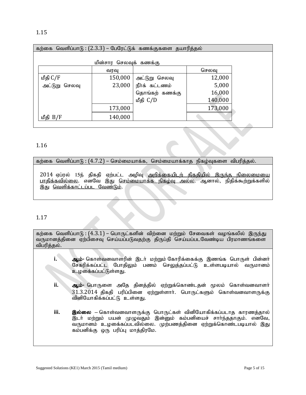| கற்கை வெளிப்பாடு : (2.3.3) – பேரேட்டுக் கணக்குகளை தயாரித்தல் |                     |                |        |  |  |  |  |
|--------------------------------------------------------------|---------------------|----------------|--------|--|--|--|--|
| மின்சார செலவுக் கணக்கு                                       |                     |                |        |  |  |  |  |
|                                                              | வாவ                 |                | செலவு  |  |  |  |  |
| மீதி C/F                                                     | 150,000             | அட்டுறு செலவு  | 12,000 |  |  |  |  |
| அட்டுறு செலவு                                                | 23,000              | நீர்க் கட்டணம் | 5,000  |  |  |  |  |
|                                                              |                     | தொங்கற் கணக்கு | 16,000 |  |  |  |  |
|                                                              | 140,000<br>மீதி C/D |                |        |  |  |  |  |
| 173,000<br>173,000                                           |                     |                |        |  |  |  |  |
| மீதி B/F                                                     | 140,000             |                |        |  |  |  |  |

#### 1.16

#### கற்கை வெளிப்பாடு:  $(4.7.2)$  – செம்மையாக்க, செம்மையாக்காத நிகழ்வுகளை விபரித்தல்.

2014 ஏப்ரல் 15ந் திகதி ஏற்பட்ட அழிவு <u>அறிக்கையிடற் திகதியில் இருந்த நிலைமையை</u> <u>பாதிக்கவில்லை</u>. எனவே இது <u>செம்மையாக்க நிகழ்வு அல்ல</u>. ஆனால், நிதிக்கூற்றுக்களில் இது வெளிக்காட்டப்பட வேண்டும்.

## 1.17

கற்கை வெளிப்பாடு :  $(4.3.1)$  – பொருட்களின் விற்னை மற்றும் சேவைகள் வழங்கலில் இருந்து வருமானத்தினை ஏற்பிசைவு செய்யப்படுவதற்கு திருப்தி செய்யப்படவேண்டிய பிரமாணங்களை விபரித்தல்.

- **i.** Mk;**-** nfhs;tdthsupd ; ,lh; kw;Wk; Nfhupf;iff;F ,zq;f nghUs; gpd ;dh; சேகரிக்கப்பட்ட போகிலும் பணம் செலுக்கப்பட்டு உள்ளபடியால் வருமானம் உழகைகப்பட்டுள்ளது.
- ii. ஆம்- பொருளை அதே தினத்தில் ஏற்றுக்கொண்டதன் மூலம் கொள்வனவாளர்  $31.3.2014$  திகதி பரிப்பினை ஏற்றுள்ளார். பொருட்களும் கொள்வனவாளருக்கு வினியோகிக்கப்பட்டு உள்ளது.
- **iii. இல்லை –** கொள்வனவாளருக்கு பொருட்கள் வினியோகிக்கப்படாத காரணத்தால் இடா் மற்றும் பயன் முழுவதும் இன்னும் கம்பனியைச் சாா்ந்ததாகும். எனவே, வருமானம் உழகை்கப்படவில்லை. முற்பணக்கினை ஏற்றுக்கொண்டபடியால் இது கம்பனிக்கு ஒரு பரிப்பு மாத்திரமே.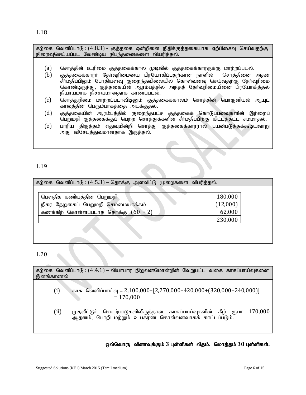1.18

கற்கை வெளிப்பாடு :  $(4.8.3)$  - குத்தகை ஒன்றினை நிதிக்குத்தகையாக ஏற்பிசைவு செய்வதற்கு நிறைவுசெய்யப்பட வேண்டிய நிபந்தனைகளை வியரித்தல்.

- (a) ரொத்தின் உரிமை குத்தகைக்கால முடிவில் குத்தகைக்காரருக்கு மாற்றப்படல்.
- $(b)$  குக்ககைக்காார் கோ்வரிமையை பிாயோகிப்பகற்கான நாளில் சொக்கினை அகன் .<br>சீர்மதிப்பிலும் போதியளவு குறைந்தவிலையில் கொள்வனவு செய்வதற்கு தேர்வுரிமை கொண்டிருந்து, குத்தகையின் ஆரம்பத்தில் அந்தத் தோவரிமையினை பிரயோகித்தல் நியாயமாக நிச்சயமானதாக காணப்படல்.
- (c) சொத்துரிமை மாற்றப்படாவிடினும் குத்தகைக்காலம் சொத்தின் பொருளியல் ஆயுட் காலத்தின் பெரும்பாகத்தை அடக்குதல்.
- $(d)$  குத்தகையின் ஆரம்பத்தில் குறைந்தபட்ச குத்தகைக் கொடுப்பனவுகளின் இற்றைப் பெறுமதி குத்தகைக்குப் பெற்ற சொத்துக்களின் சீர்மதிப்பிற்கு கிட்டத்தட்ட சமமாதல்.
- (e) பாரிய திருத்தம் எதுவுமின்றி சொத்து குத்தகைக்காரரால் பயன்படுத்தக்கூடியவாறு அது விசேடத்துவமானதாக இருத்தல்.

## 1.19

| கற்கை வெளிப்பாடு : (4.5.3) – தொக்கு அளவீட்டு முறைகளை விபரித்தல். |          |  |
|------------------------------------------------------------------|----------|--|
|                                                                  |          |  |
| பௌதிக கணியத்தின் பெறுமதி                                         | 180,000  |  |
| தேறுகைப் பெறுமதி செம்மையாக்கம்<br>நிகர                           | (12,000) |  |
| கணக்கிற் கொள்ளப்படாத தொக்கு $(60 + 2)$                           | 62,000   |  |
|                                                                  | 230,000  |  |
|                                                                  |          |  |

#### 1.20

| இனங்காணல் | கற்கை வெளிப்பாடு : (4.4.1) – வியாபார நிறுவனமொன்றின் வேறுபட்ட வகை காசுப்பாய்வுகளை                                                    |
|-----------|-------------------------------------------------------------------------------------------------------------------------------------|
| (i)       | காசு வெளிப்பாய்வு = 2,100,000-[2,270,000-420,000+(320,000-240,000)]<br>$= 170,000$                                                  |
| (ii)      | <u>முதலீட்டுச் செயற்பாடுகளிலிருந்தான காசுப்பாய்வுகளின்</u> கீழ் ரூபா 170,000<br>ஆதனம், பொறி மற்றும் உபகரண கொள்வனவாகக் காட்டப்படும். |

ஒவ்வொரு வினாவுக்கும் 3 புள்ளிகள் வீதம். மொத்தம் 30 புள்ளிகள்.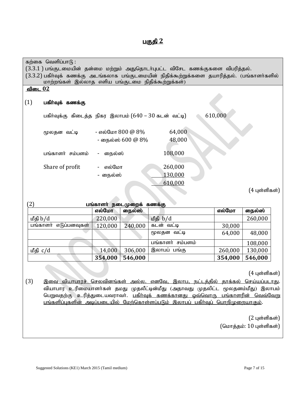# <u>பகுதி 2</u>

|                                          | கற்கை வெளிப்பாடு : |                                                                                             |         |         |               |  |  |
|------------------------------------------|--------------------|---------------------------------------------------------------------------------------------|---------|---------|---------------|--|--|
|                                          |                    | (3.3.1 ) பங்குடமையின் தன்மை மற்றும் அதுதொடா்புபட்ட விசேட கணக்குகளை விபரித்தல்.              |         |         |               |  |  |
|                                          |                    | (3.3.2) பகிர்வுக் கணக்கு அடங்கலாக பங்குடமையின் நிதிக்கூற்றுக்களை தயாரித்தல். (பங்காளர்களில் |         |         |               |  |  |
|                                          |                    | மாற்றங்கள் இல்லாத எளிய பங்குடமை நிதிக்கூற்றுக்கள்)                                          |         |         |               |  |  |
| <u>விடை 02</u>                           |                    |                                                                                             |         |         |               |  |  |
|                                          |                    |                                                                                             |         |         |               |  |  |
| (1)                                      | பகிா்வுக் கணக்கு   |                                                                                             |         |         |               |  |  |
|                                          |                    |                                                                                             |         |         |               |  |  |
|                                          |                    | பகிர்வுக்கு கிடைத்த நிகர இலாபம் (640 – 30 கடன் வட்டி)                                       |         | 610,000 |               |  |  |
|                                          |                    |                                                                                             |         |         |               |  |  |
|                                          | மூலதன வட்டி        | - எல்மோ 800 @ 8%                                                                            | 64,000  |         |               |  |  |
|                                          |                    | - நைல்ஸ் 600 @ 8%                                                                           | 48,000  |         |               |  |  |
|                                          |                    |                                                                                             |         |         |               |  |  |
|                                          | பங்காளர் சம்பளம்   | நைல்ஸ்                                                                                      | 108,000 |         |               |  |  |
|                                          |                    |                                                                                             |         |         |               |  |  |
|                                          | Share of profit    | எல்மோ                                                                                       | 260,000 |         |               |  |  |
|                                          |                    | - நைல்ஸ்                                                                                    | 130,000 |         |               |  |  |
|                                          |                    |                                                                                             | 610,000 |         |               |  |  |
|                                          |                    |                                                                                             |         |         | (4 புள்ளிகள்) |  |  |
|                                          |                    |                                                                                             |         |         |               |  |  |
| $2^{\circ}$<br>பங்காளர் நடைமுறைக் கணக்கு |                    |                                                                                             |         |         |               |  |  |
|                                          |                    | எல்மோ<br>நைல்ஸ்                                                                             |         | எல்மோ   | நைல்ஸ்        |  |  |
|                                          |                    |                                                                                             |         |         |               |  |  |

|                          |         | -       |                     |         |         |
|--------------------------|---------|---------|---------------------|---------|---------|
| மீதி b/d                 | 220,000 |         | மீதி b/d            |         | 260,000 |
| பங்காளர்<br>எடுப்பனவுகள் | 120,000 | 240,000 | கடன் வட்டி          | 30,000  |         |
|                          |         |         | மூலதன வட்டி         | 64,000  | 48,000  |
|                          |         |         | பங்காளர்<br>சம்பளம் |         | 108,000 |
| மீதி c/d                 | 14,000  | 306,000 | இலாபப் பங்கு        | 260,000 | 130,000 |
|                          | 354,000 | 546,000 |                     | 354,000 | 546,000 |

 $(4 \text{ L}$ ள்ளிகள் $)$ 

(3) இ<u>வை வியாபாரச் செலவினங்கள் அல்ல. எனவே, இலாப, நட்டத்தில் தாக்கல் செய்யப்படாத</u>ு. வியாபார உரிமையாளா்கள் தமது முதலீட்டின்மீது (அதாவது முதலிட்ட மூலதனம்மீது) இலாபம் பெறுவதற்கு உரித்துடையவராவா். <u>பகிா்வுக் கணக்கானது ஒவ்வொரு பங்காளரின் வெவ்வேறு</u> <u>பங்களிப்புகளின் அடிப்படையில் மேற்கொள்ளப்படும் இலாபப் பகிர்வுப் பொறிமுறையாகும்</u>.

> $(2 \text{ L}$ ள்ளிகள் $)$ (மொத்தம்:  $10$  புள்ளிகள்)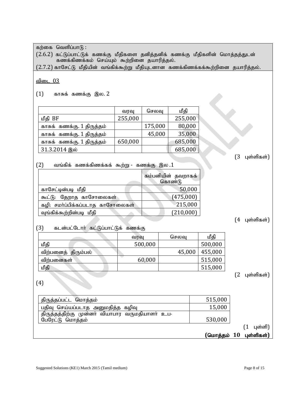கற்கை வெளிப்பா $f$  :  $(2.6.2)$  கட்டுப்பாட்டுக் கணக்கு மீதிகளை தனித்தனிக் கணக்கு மீதிகளின் மொத்தத்துடன் கணக்கிணக்கம் செய்யும் கூற்றினை தயாரித்தல்.  $(2.7.2)$  காசேட்டு மீதியின் வங்கிக்கூற்று மீதியுடனான கணக்கிணக்கக்கூற்றினை தயாரித்தல். விடை $03$  $(1)$  காசுக் கணக்கு இல. 2 வரவு | செலவு | மீதி  $\log$  BF 255,000 255,000 காசுக் கணக்கு. 1 திருத்தம் | | 175,000 | 80,000 fhRf; fzf;F. 1 jpUj;jk; 45,000 35,000 காசுக் கணக்கு. 1 திருத்தம்  $\,$  | 650,000 | 685,000 31.3.2014 ,y; 685,000  $(3 \text{ u} \text{or} \text{or} \text{or} \text{or} \text{or}$  $(2)$  வங்கிக் கணக்கிணக்கக் கூற்று - கணக்கு இல $.1$ கம்பனியின் தவறாகக் கொண்டு காசேட்டின்படி மீதி காசேட்டின்படி மீதி காசேட்டின்படி மீதி \$l;L: Njwhj fhNrhiyfs; (475,000) கழி: சமா்ப்பிக்கப்படாத காசோலைகள்  $\vert$  215,000 வங்கிக்கூற்றின்படி மீகி $(210,000)$  $(4 \;$ புள்ளிகள் $)$  $(3)$  கடன்பட்டோர் கட்டுப்பாட்டுக் கணக்கு வரவு | செலவு | மீதி மீதி 500,000 500,000 500,000 விற்பனைத் திரும்பல்  $\vert$  45,000 | 455,000 tpw;gidfs; 60,000 515,000 kPjp 515,000  $(2 \text{ u} \text{or} \text{in} \text{m} \text{as} \text{in})$ (4) jpUj;jg;gl;l nkhj;jk; 515,000 gjpT nra;ag;glhj mDkjpj;j fopT 15,000 திருத்தத்திற்கு முன்னா் வியாபார வருமதியாளா் உப-NgNul;L nkhj;jk; 530,000  $(1 \quad \text{L} \text{or} \text{L} \text{m})$  $($ மொத்தம் 10 புள்ளிகள்)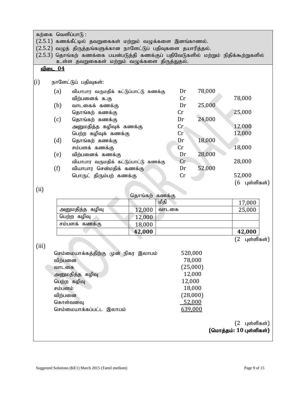கற்கை வெளிப்பா $\mathfrak{h}$  :

 $(2.5.1)$  கணக்கீட்டில் தவறுகைகள் மற்றும் வழுக்களை இனங்காணல்.

 $(2.5.2)$  வழுத் திருத்தங்களுக்கான நாளேட்டுப் பதிவுகளை தயாரித்தல்.

 $(2.5.3)$  தொங்கற் கணக்கை பயன்படுத்தி கணக்குப் பதிவேடுகளில் மற்றும் நிதிக்கூற்றுகளில் உள்ள தவறுகைகள் மற்றும் வழுக்களை திருத்துதல்.

<u>விடை 04</u>

#### (i) ehNsl;Lg; gjpTfs;:

| (a) | வியாபார வருமதிக் கட்டுப்பாட்டு கணக்கு | Dr                         | 78,000 |               |
|-----|---------------------------------------|----------------------------|--------|---------------|
|     | விற்பனைக் க.கு                        | Cr                         |        | 78,000        |
| (b) | வாடகைக் கணக்கு                        | Dr                         | 25,000 |               |
|     | தொங்கற் கணக்கு                        | $\mathop{\rm Cr}\nolimits$ |        | 25,000        |
| (c) | தொங்கற் கணக்கு                        | Dr                         | 24,000 |               |
|     | அனுமதித்த கழிவுக் கணக்கு              | Cr                         |        | 12,000        |
|     | பெற்ற கழிவுக் கணக்கு                  | Cr                         |        | 12,000        |
| (d) | தொங்கற் கணக்கு                        | Dr                         | 18,000 |               |
|     | சம்பளக் கணக்கு                        | Cr                         |        | 18,000        |
| (e) | விற்பனைக் கணக்கு                      | Dr                         | 28,000 |               |
|     | வியாபார வருமதிக் கட்டுப்பாட்டு கணக்கு | Cr                         |        | 28,000        |
| (f) | வியாபார சென்மதிக் கணக்கு              | Dr                         | 52,000 |               |
|     | பொருட் திரும்பற் கணக்கு               | Cr                         |        | 52,000        |
|     |                                       |                            |        | (6 புள்ளிகள்) |

(ii)

|                 | தொங்கற் கணக்கு |       |        |
|-----------------|----------------|-------|--------|
|                 |                | மீகி  | 17,000 |
| அனுமதித்த கழிவு | 12,000         | வாடகை | 25,000 |
| பெற்ற கழிவு     | 12,000         |       |        |
| சம்பளக் கணக்கு  | 18,000         |       |        |
|                 | 42,000         |       | 42,000 |

 $(2 \text{ u} \text{or} \text{in} \text{m} \text{as} \text{or} \text{)}$ 

| (iii) |                                      |          |
|-------|--------------------------------------|----------|
|       | செம்மையாக்கத்திற்கு முன் நிகர இலாபம் | 520,000  |
|       | விற்பனை                              | 78,000   |
|       | வாடகை                                | (25,000) |
|       | அனுமதித்த கழிவு                      | 12,000   |
|       | பெற்ற கழிவு                          | 12,000   |
|       | சம்பளம்                              | 18,000   |
|       | விற்பனை                              | (28,000) |
|       | கொள்வனவு                             | 52,000   |
|       | செம்மையாக்கப்பட்ட இலாபம்             | 639,000  |
|       |                                      |          |
|       |                                      |          |
|       |                                      | - -      |

 $(2 \text{ u} \text{or} \text{in} \text{m} \text{or} \text{in})$  $($ மொத்தம்: 10 புள்ளிகள்)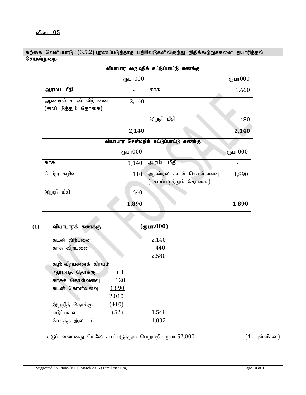கற்கை வெளிப்பாடு:  $(3.5.2)$  பூரணப்படுத்தாத பதிவேடுகளிலிருந்து நிதிக்கூற்றுக்களை தயாரித்தல். <u>செயன்முறை</u>

| வாாாயி வருந்து ஒட்டுப்பாட்டு வண்க்கு |            |            |            |  |
|--------------------------------------|------------|------------|------------|--|
|                                      | ரூபா $000$ |            | ரூபா $000$ |  |
| ஆரம்ப மீதி                           |            | காசு       | 1,660      |  |
| ஆண்டில் கடன் விற்பனை                 | 2,140      |            |            |  |
| (சமப்படுத்தும் தொகை)                 |            |            |            |  |
|                                      |            | இறுதி மீதி | 480        |  |
|                                      | 2,140      |            | 2,140      |  |

# $\theta$ பாபார வருமகிக் கட்டுப்பாட்டு கணக்கு

#### வியாபார சென்மதிக் கட்டுப்பாட்டு கணக்கு

|               | ரூபா $000$ |                       | ருபா $000$ |
|---------------|------------|-----------------------|------------|
| காசு          | 1,140      | ஆரம்ப மீதி            |            |
| பெற்ற கழிவு   | 110        | ஆண்டில் கடன் கொள்வனவு | 1,890      |
|               |            | சமப்படுத்தும் தொகை )  |            |
| மீதி<br>இறுதி | 640        |                       |            |
|               | 1,890      |                       | 1,890      |

| (1) | வியாபாரக் கணக்கு       |       | $($ (Тушт. 000) |
|-----|------------------------|-------|-----------------|
|     | விற்பனை<br>கடன்        |       | 2,140           |
|     | காசு விற்பனை           |       | 440             |
|     |                        |       | 2,580           |
|     | கழி: விற்பனைக்  கிரயம் |       |                 |
|     | ஆரம்பத் தொக்கு         | nil   |                 |
|     | காசுக் கொள்வனவு        | 120   |                 |
|     | கடன் கொள்வனவு          | 1,890 |                 |
|     |                        | 2,010 |                 |
|     | இறுதித் தொக்கு         | (410) |                 |
|     | எடுப்பனவு              | (52)  | <u>1,548</u>    |
|     | மொத்த இலாபம்           |       | 1,032           |
|     |                        |       |                 |

எடுப்பனவானது மேலே சமப்படுத்தும் பெறுமதி : ரூபா  $52,000$   $(4 \text{ u} \cdot \text{u} \cdot \text{u})$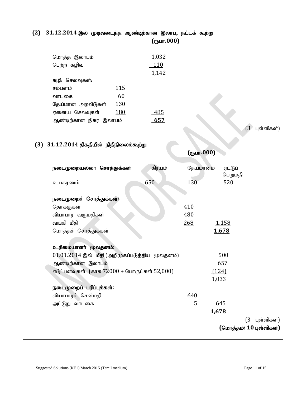| (2) | $31.12.2014$ இல் முடிவடைந்த ஆண்டிற்கான இலாப, நட்டக் கூற்று | (oplur.000) |                |                             |
|-----|------------------------------------------------------------|-------------|----------------|-----------------------------|
|     | மொத்த இலாபம்                                               | 1,032       |                |                             |
|     | பெற்ற கழிவு                                                | 110         |                |                             |
|     |                                                            | 1,142       |                |                             |
|     | கழி: செலவுகள்:                                             |             |                |                             |
|     | 115<br>சம்பளம்                                             |             |                |                             |
|     | 60<br>வாடகை                                                |             |                |                             |
|     | 130<br>தேய்மான அறவீடுகள்                                   |             |                |                             |
|     | <u>180</u><br>ஏனைய செலவுகள்                                | 485         |                |                             |
|     | ஆண்டிற்கான நிகர இலாபம்                                     | 657         |                |                             |
|     |                                                            |             |                | (3)<br>புள்ளிகள்)           |
|     |                                                            |             |                |                             |
|     | $(3)$ $31.12.2014$ திகதியில் நிதிநிலைக்கூற்று              |             |                |                             |
|     |                                                            |             | (ரூபா.000)     |                             |
|     | நடைமுறையல்லா சொத்துக்கள்                                   | கிரயம்      | தேய்மானம்      | ஏட்டுப்                     |
|     |                                                            |             |                | பெறுமதி                     |
|     | 650<br>உபகரணம்                                             |             | 130            | 520                         |
|     |                                                            |             |                |                             |
|     | நடைமுறைச் சொத்துக்கள்:                                     |             |                |                             |
|     | தொக்குகள்                                                  |             | 410            |                             |
|     | வியாபார வருமதிகள்                                          |             | 480            |                             |
|     | வங்கி மீதி                                                 |             | 268            | 1,158                       |
|     | மொத்தச் சொத்துக்கள்                                        |             |                | 1,678                       |
|     |                                                            |             |                |                             |
|     | உரிமையாளா் மூலதனம்:                                        |             |                |                             |
|     | $01.01.2014$ இல் மீதி (அறிமுகப்படுத்திய மூலதனம்)           |             |                | 500                         |
|     | ஆண்டிற்கான இலாபம்                                          |             |                | 657                         |
|     | எடுப்பனவுகள் (காசு 72000 + பொருட்கள் 52,000)               |             | (124)          |                             |
|     |                                                            |             | 1,033          |                             |
|     | நடைமுறைப் பரிப்புக்கள்:                                    |             |                |                             |
|     | வியாபாரச் சென்மதி                                          |             | 640            |                             |
|     | அட்டுறு வாடகை                                              |             | $\overline{5}$ | 645                         |
|     |                                                            |             | 1,678          |                             |
|     |                                                            |             |                | $(3 \text{ if } \mathbf{q}$ |
|     |                                                            |             |                | (மொத்தம்: $10$ புள்ளிகள்)   |
|     |                                                            |             |                |                             |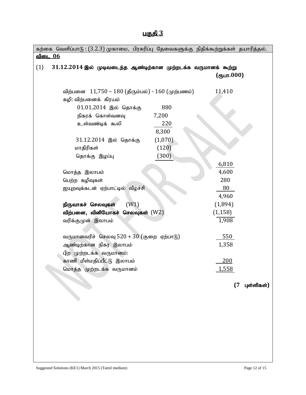| Æ<br>ю. |  |
|---------|--|
|         |  |

| கற்கை வெளிப்பாடு : (3.2.3) முகாமை, பிரசுரிப்பு தேவைகளுக்கு நிதிக்கூற்றுக்கள் தயாரித்தல். |         |            |            |
|------------------------------------------------------------------------------------------|---------|------------|------------|
| <u>விடை 06</u>                                                                           |         |            |            |
| (1)<br>$31.12.2014$ இல் முடிவடைந்த ஆண்டிற்கான முற்றடக்க வருமானக் கூற்று                  |         |            |            |
|                                                                                          |         | (ரூபா.000) |            |
|                                                                                          |         |            |            |
| விற்பனை 11,750 – 180 (திரும்பல்) - 160 (முற்பணம்)                                        |         | 11,410     |            |
| கழி: விற்பனைக் கிரயம்                                                                    |         |            |            |
| $01.01.2014$ இல் தொக்கு                                                                  | 880     |            |            |
| நிகரக் கொள்வனவு                                                                          | 7,200   |            |            |
| உள்வண்டிக் கூலி                                                                          | 220     |            |            |
|                                                                                          | 8,300   |            |            |
| 31.12.2014 இல் தொக்கு                                                                    | (1,070) |            |            |
| மாதிரிகள்                                                                                | (120)   |            |            |
| தொக்கு இழப்பு                                                                            | (300)   |            |            |
|                                                                                          |         | 6,810      |            |
| மொத்த இலாபம்                                                                             |         | 4,600      |            |
| பெற்ற கழிவுகள்                                                                           |         | 280        |            |
| ஐயுறவுக்கடன் ஏற்பாட்டில் வீழ்ச்சி                                                        |         | 80         |            |
|                                                                                          |         | 4,960      |            |
| (W1)<br>நிருவாகச் செலவுகள்                                                               |         | (1,894)    |            |
| விற்பனை, வினியோகச் செலவுகள் $(W2)$                                                       |         | (1, 158)   |            |
| வரிக்குமுன் இலாபம்                                                                       |         | 1,908      |            |
|                                                                                          |         |            |            |
| வருமானவரிச் செலவு $520 + 30$ (குறை ஏற்பாடு)                                              |         | 550        |            |
| ஆண்டிற்கான நிகர இலாபம்                                                                   |         | 1,358      |            |
| பிற முற்றடக்க வருமானம்:                                                                  |         |            |            |
| காணி மீள்மதிப்பீட்டு இலாபம்                                                              |         | 200        |            |
| மொத்த முற்றடக்க வருமானம்                                                                 |         | 1,558      |            |
|                                                                                          |         |            |            |
|                                                                                          |         | (7)        | புள்ளிகள்) |
|                                                                                          |         |            |            |
|                                                                                          |         |            |            |
|                                                                                          |         |            |            |
|                                                                                          |         |            |            |
|                                                                                          |         |            |            |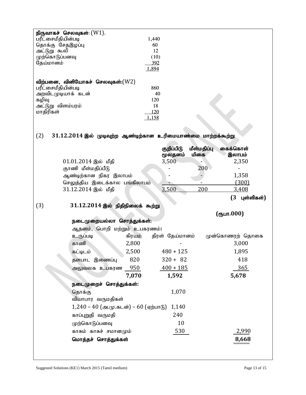|                                  | நிருவாகச் செலவுகள்: $(W1)$ .                                    |             |                 |             |                      |
|----------------------------------|-----------------------------------------------------------------|-------------|-----------------|-------------|----------------------|
| பரீட்சைமீதியின்படி               |                                                                 | 1,440<br>60 |                 |             |                      |
| தொக்கு சேதஇழப்பு<br>அட்டுறு கூலி |                                                                 | 12          |                 |             |                      |
| முற்கொடுப்பனவு                   |                                                                 | (10)        |                 |             |                      |
| தேய்மானம்                        |                                                                 | 392         |                 |             |                      |
|                                  |                                                                 | 1,894       |                 |             |                      |
|                                  | விற்பனை, வினியோகச் செலவுகள்: $(W2)$                             |             |                 |             |                      |
| பரீட்சைமீதியின்படி               |                                                                 | 860         |                 |             |                      |
| அறவிடமுடியாக் கடன்               |                                                                 | 40          |                 |             |                      |
| கழிவு                            |                                                                 | 120         |                 |             |                      |
| அட்டுறு விளம்பரம்<br>மாதிரிகள்   |                                                                 | 18<br>120   |                 |             |                      |
|                                  |                                                                 | 1,158       |                 |             |                      |
|                                  |                                                                 |             |                 |             |                      |
| (2)                              | $31.12.2014$ இல் முடிவுற்ற ஆண்டிற்கான உரிமையாண்மை மாற்றக்கூற்று |             |                 |             |                      |
|                                  |                                                                 |             |                 |             |                      |
|                                  |                                                                 |             | குறிப்பிடு      | மீள்மதிப்பு | கைக்கொள்             |
|                                  |                                                                 |             | மூலதனம்         | மிகை        | இலாபம்               |
|                                  | $01.01.2014$ இல் மீதி                                           |             | 3,500           | 200         | 2,350                |
|                                  | குாணி மீள்மதிப்பீடு<br>ஆண்டிற்கான நிகர இலாபம்                   |             |                 |             | 1,358                |
|                                  | செலுத்திய இடைக்கால பங்கிலாபம்                                   |             |                 |             | (300)                |
|                                  | 31.12.2014 இல் மீதி                                             |             | 3,500           | 200         | 3,408                |
|                                  |                                                                 |             |                 |             | $(3 -$<br>புள்ளிகள்) |
| (3)                              | $31.12.2014$ இல் நிதிநிலைக் கூற்று                              |             |                 |             |                      |
|                                  |                                                                 |             |                 |             | (oplur.000)          |
|                                  | நடைமுறையல்லா சொத்துக்கள்:                                       |             |                 |             |                      |
|                                  | ஆதனம், பொறி மற்றும் உபகரணம்:                                    |             |                 |             |                      |
|                                  | உருப்படி                                                        | கிரயம்      | திரள் தேய்மானம் |             | முன்கொணரற் தொகை      |
|                                  | காணி                                                            | 2,800       |                 |             | 3,000                |
|                                  | கட்டிடம்                                                        | 2,500       | $480 + 125$     |             | 1,895                |
|                                  | தளபாட இணைப்பு                                                   |             |                 |             | 418                  |
|                                  |                                                                 |             |                 |             |                      |
|                                  |                                                                 | 820         | $320 + 82$      |             |                      |
|                                  | அலுவலக உபகரண                                                    | 950         | $400 + 185$     |             | 365                  |
|                                  |                                                                 | 7,070       | 1,592           |             | 5,678                |
|                                  | நடைமுறைச் சொத்துக்கள்:                                          |             |                 |             |                      |
|                                  | தொக்கு                                                          |             | 1,070           |             |                      |
|                                  | வியாபார வருமதிகள்                                               |             |                 |             |                      |
|                                  | $1,240 - 40$ (அ.மு.கடன்) – 60 (ஏற்பாடு)                         |             | 1,140<br>240    |             |                      |
|                                  | காப்புறுதி வருமதி                                               |             |                 |             |                      |
|                                  | முற்கொடுப்பனவு                                                  |             | 10              |             |                      |
|                                  | காசும் காசுச் சமானமும்<br>மொத்தச் சொத்துக்கள்                   |             | 530             |             | 2,990<br>8,668       |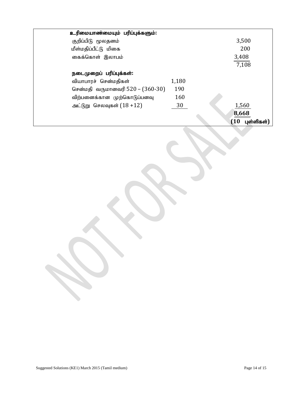| உரிமையாண்மையும் பரிப்புக்களும்:  |       |                   |
|----------------------------------|-------|-------------------|
| குறிப்பிடு மூலதனம்               |       | 3,500             |
| மீள்மதிப்பீட்டு மிகை             |       | 200               |
| கைக்கொள் இலாபம்                  |       | 3,408             |
|                                  |       | 7,108             |
| நடைமுறைப் பரிப்புக்கள்:          |       |                   |
| வியாபாரச் சென்மதிகள்             | 1,180 |                   |
| சென்மதி வருமானவரி 520 – (360-30) | 190   |                   |
| விற்பனைக்கான முற்கொடுப்பனவு      | 160   |                   |
| அட்டுறு செலவுகள் $(18+12)$       | 30    | 1,560             |
|                                  |       | 8,668             |
|                                  |       | (10<br>புள்ளிகள்) |